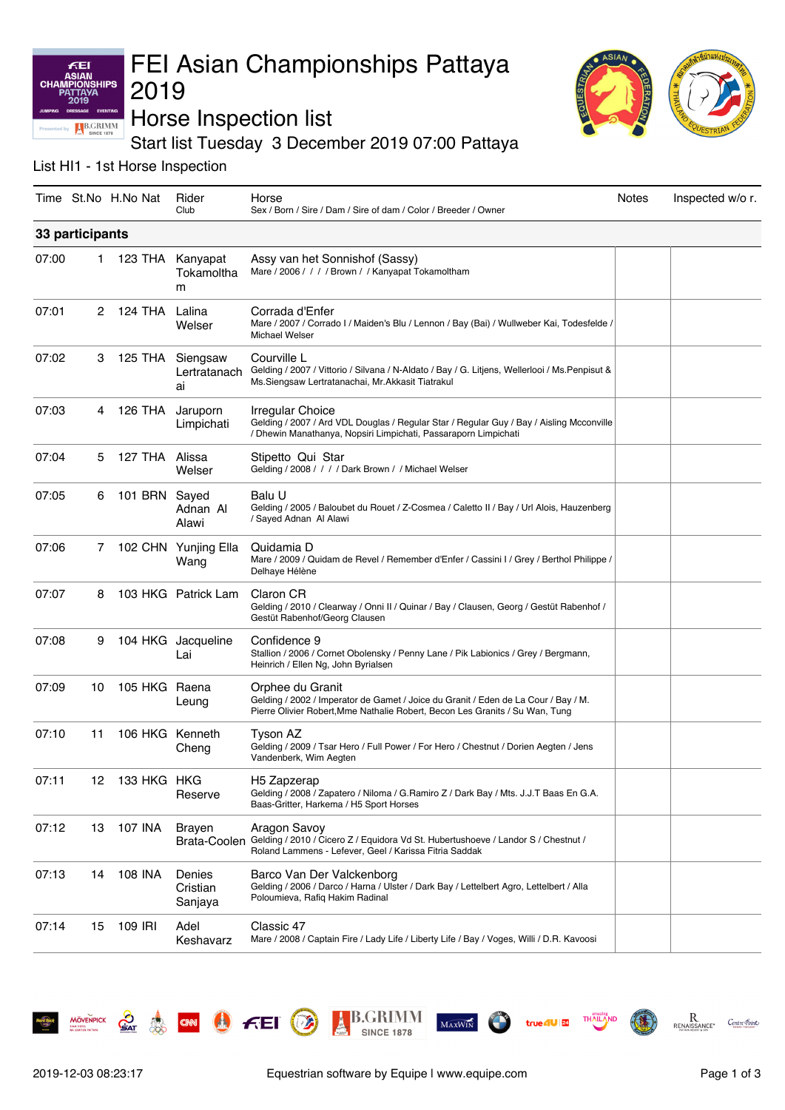# FEI Asian Championships Pattaya 2019



Horse Inspection list

Start list Tuesday 3 December 2019 07:00 Pattaya

### List HI1 - 1st Horse Inspection

KEI **ASIAN** 

**CHA** 

HIPS

**B.GRIMM** 

|       |                 | Time St.No H.No Nat | Rider<br>Club                          | Horse<br>Sex / Born / Sire / Dam / Sire of dam / Color / Breeder / Owner                                                                                                               | Notes | Inspected w/o r. |  |
|-------|-----------------|---------------------|----------------------------------------|----------------------------------------------------------------------------------------------------------------------------------------------------------------------------------------|-------|------------------|--|
|       | 33 participants |                     |                                        |                                                                                                                                                                                        |       |                  |  |
| 07:00 | 1               |                     | 123 THA Kanyapat<br>Tokamoltha<br>m    | Assy van het Sonnishof (Sassy)<br>Mare / 2006 / / / / Brown / / Kanyapat Tokamoltham                                                                                                   |       |                  |  |
| 07:01 | 2               | 124 THA             | Lalina<br>Welser                       | Corrada d'Enfer<br>Mare / 2007 / Corrado I / Maiden's Blu / Lennon / Bay (Bai) / Wullweber Kai, Todesfelde /<br>Michael Welser                                                         |       |                  |  |
| 07:02 | 3               |                     | 125 THA Siengsaw<br>Lertratanach<br>ai | Courville L<br>Gelding / 2007 / Vittorio / Silvana / N-Aldato / Bay / G. Litjens, Wellerlooi / Ms. Penpisut &<br>Ms.Siengsaw Lertratanachai, Mr.Akkasit Tiatrakul                      |       |                  |  |
| 07:03 | 4               | 126 THA             | Jaruporn<br>Limpichati                 | Irregular Choice<br>Gelding / 2007 / Ard VDL Douglas / Regular Star / Regular Guy / Bay / Aisling Mcconville<br>/ Dhewin Manathanya, Nopsiri Limpichati, Passaraporn Limpichati        |       |                  |  |
| 07:04 | 5               | 127 THA Alissa      | Welser                                 | Stipetto Qui Star<br>Gelding / 2008 / / / / Dark Brown / / Michael Welser                                                                                                              |       |                  |  |
| 07:05 | 6               | 101 BRN Sayed       | Adnan Al<br>Alawi                      | Balu U<br>Gelding / 2005 / Baloubet du Rouet / Z-Cosmea / Caletto II / Bay / Url Alois, Hauzenberg<br>/ Sayed Adnan Al Alawi                                                           |       |                  |  |
| 07:06 | 7               |                     | 102 CHN Yunjing Ella<br>Wang           | Quidamia D<br>Mare / 2009 / Quidam de Revel / Remember d'Enfer / Cassini I / Grey / Berthol Philippe /<br>Delhaye Hélène                                                               |       |                  |  |
| 07:07 | 8               |                     | 103 HKG Patrick Lam                    | <b>Claron CR</b><br>Gelding / 2010 / Clearway / Onni II / Quinar / Bay / Clausen, Georg / Gestüt Rabenhof /<br>Gestüt Rabenhof/Georg Clausen                                           |       |                  |  |
| 07:08 | 9               | 104 HKG             | Jacqueline<br>Lai                      | Confidence 9<br>Stallion / 2006 / Cornet Obolensky / Penny Lane / Pik Labionics / Grey / Bergmann,<br>Heinrich / Ellen Ng, John Byrialsen                                              |       |                  |  |
| 07:09 | 10              | 105 HKG             | Raena<br>Leung                         | Orphee du Granit<br>Gelding / 2002 / Imperator de Gamet / Joice du Granit / Eden de La Cour / Bay / M.<br>Pierre Olivier Robert, Mme Nathalie Robert, Becon Les Granits / Su Wan, Tung |       |                  |  |
| 07:10 | 11              | 106 HKG Kenneth     | Cheng                                  | Tyson AZ<br>Gelding / 2009 / Tsar Hero / Full Power / For Hero / Chestnut / Dorien Aegten / Jens<br>Vandenberk, Wim Aegten                                                             |       |                  |  |
| 07:11 | 12              | 133 HKG HKG         | Reserve                                | H5 Zapzerap<br>Gelding / 2008 / Zapatero / Niloma / G.Ramiro Z / Dark Bay / Mts. J.J.T Baas En G.A.<br>Baas-Gritter, Harkema / H5 Sport Horses                                         |       |                  |  |
| 07:12 | 13              | <b>107 INA</b>      | Brayen<br><b>Brata-Coolen</b>          | Aragon Savoy<br>Gelding / 2010 / Cicero Z / Equidora Vd St. Hubertushoeve / Landor S / Chestnut /<br>Roland Lammens - Lefever, Geel / Karissa Fitria Saddak                            |       |                  |  |
| 07:13 | 14              | 108 INA             | Denies<br>Cristian<br>Sanjaya          | Barco Van Der Valckenborg<br>Gelding / 2006 / Darco / Harna / Ulster / Dark Bay / Lettelbert Agro, Lettelbert / Alla<br>Poloumieva, Rafiq Hakim Radinal                                |       |                  |  |
| 07:14 | 15              | 109 IRI             | Adel<br>Keshavarz                      | Classic 47<br>Mare / 2008 / Captain Fire / Lady Life / Liberty Life / Bay / Voges, Willi / D.R. Kavoosi                                                                                |       |                  |  |



**MÖVENPICK** 

 $\mathcal{L}_{\mathsf{A}\mathsf{T}}$ 

**A CON C** FEI

 $MAXWIN$ 

**B.GRIMM** 

**SINCE 1878** 

O

Centre Foint

 $\mathbf R$ 

RENAISS

THAIL

true 4U 24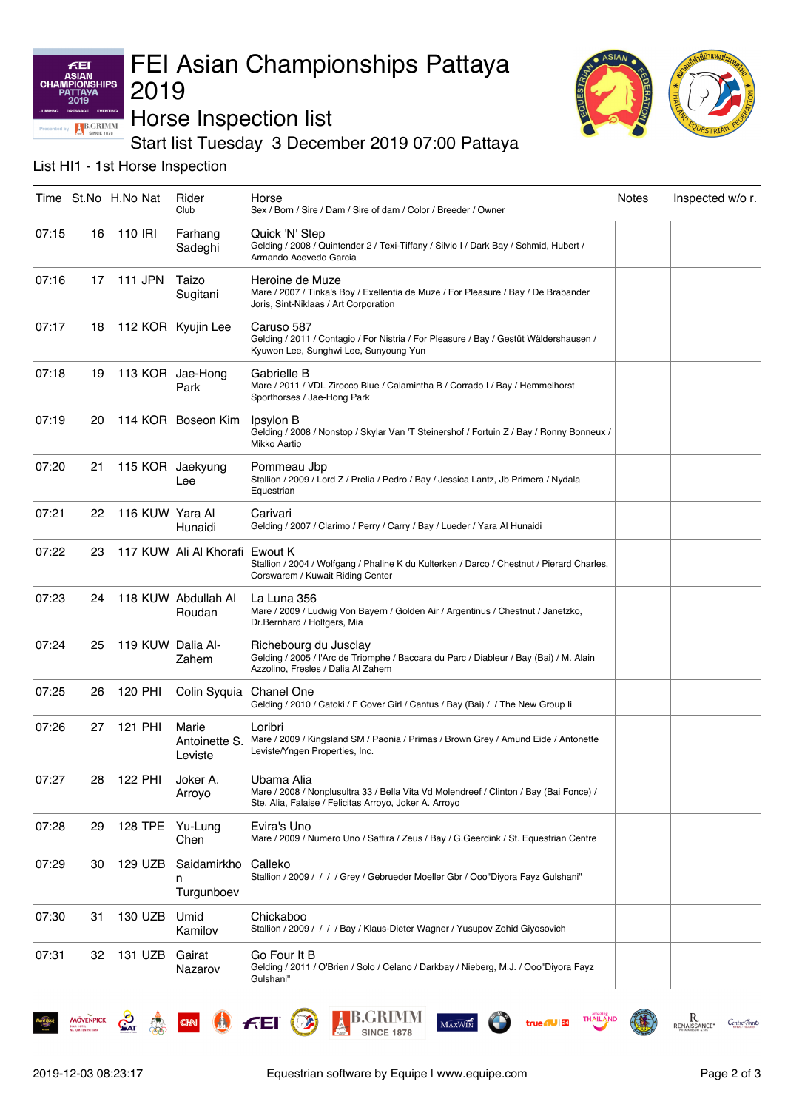### KEI **ASIAN** HIPS **CHAI B.GRIMM**

# FEI Asian Championships Pattaya 2019



Horse Inspection list

Start list Tuesday 3 December 2019 07:00 Pattaya

List HI1 - 1st Horse Inspection

|       |    | Time St.No H.No Nat   | Rider<br>Club                     | Horse<br>Sex / Born / Sire / Dam / Sire of dam / Color / Breeder / Owner                                                                                       | Notes | Inspected w/o r. |
|-------|----|-----------------------|-----------------------------------|----------------------------------------------------------------------------------------------------------------------------------------------------------------|-------|------------------|
| 07:15 | 16 | 110 IRI               | Farhang<br>Sadeghi                | Quick 'N' Step<br>Gelding / 2008 / Quintender 2 / Texi-Tiffany / Silvio I / Dark Bay / Schmid, Hubert /<br>Armando Acevedo Garcia                              |       |                  |
| 07:16 | 17 | 111 JPN               | Taizo<br>Sugitani                 | Heroine de Muze<br>Mare / 2007 / Tinka's Boy / Exellentia de Muze / For Pleasure / Bay / De Brabander<br>Joris, Sint-Niklaas / Art Corporation                 |       |                  |
| 07:17 |    | 18 112 KOR Kyujin Lee |                                   | Caruso 587<br>Gelding / 2011 / Contagio / For Nistria / For Pleasure / Bay / Gestüt Wäldershausen /<br>Kyuwon Lee, Sunghwi Lee, Sunyoung Yun                   |       |                  |
| 07:18 | 19 |                       | 113 KOR Jae-Hong<br>Park          | Gabrielle B<br>Mare / 2011 / VDL Zirocco Blue / Calamintha B / Corrado I / Bay / Hemmelhorst<br>Sporthorses / Jae-Hong Park                                    |       |                  |
| 07:19 | 20 |                       | 114 KOR Boseon Kim                | Ipsylon B<br>Gelding / 2008 / Nonstop / Skylar Van 'T Steinershof / Fortuin Z / Bay / Ronny Bonneux /<br>Mikko Aartio                                          |       |                  |
| 07:20 | 21 |                       | 115 KOR Jaekyung<br>Lee           | Pommeau Jbp<br>Stallion / 2009 / Lord Z / Prelia / Pedro / Bay / Jessica Lantz, Jb Primera / Nydala<br>Equestrian                                              |       |                  |
| 07:21 | 22 | 116 KUW Yara Al       | Hunaidi                           | Carivari<br>Gelding / 2007 / Clarimo / Perry / Carry / Bay / Lueder / Yara Al Hunaidi                                                                          |       |                  |
| 07:22 | 23 |                       | 117 KUW Ali Al Khorafi Ewout K    | Stallion / 2004 / Wolfgang / Phaline K du Kulterken / Darco / Chestnut / Pierard Charles,<br>Corswarem / Kuwait Riding Center                                  |       |                  |
| 07:23 | 24 |                       | 118 KUW Abdullah Al<br>Roudan     | La Luna 356<br>Mare / 2009 / Ludwig Von Bayern / Golden Air / Argentinus / Chestnut / Janetzko,<br>Dr.Bernhard / Holtgers, Mia                                 |       |                  |
| 07:24 | 25 | 119 KUW Dalia Al-     | Zahem                             | Richebourg du Jusclay<br>Gelding / 2005 / l'Arc de Triomphe / Baccara du Parc / Diableur / Bay (Bai) / M. Alain<br>Azzolino, Fresles / Dalia Al Zahem          |       |                  |
| 07:25 | 26 | 120 PHI               | Colin Syquia Chanel One           | Gelding / 2010 / Catoki / F Cover Girl / Cantus / Bay (Bai) / / The New Group li                                                                               |       |                  |
| 07:26 | 27 | 121 PHI               | Marie<br>Antoinette S.<br>Leviste | Loribri<br>Mare / 2009 / Kingsland SM / Paonia / Primas / Brown Grey / Amund Eide / Antonette<br>Leviste/Yngen Properties, Inc.                                |       |                  |
| 07:27 | 28 | 122 PHI               | Joker A.<br>Arroyo                | Ubama Alia<br>Mare / 2008 / Nonplusultra 33 / Bella Vita Vd Molendreef / Clinton / Bay (Bai Fonce) /<br>Ste. Alia, Falaise / Felicitas Arroyo, Joker A. Arroyo |       |                  |
| 07:28 | 29 | 128 TPE Yu-Lung       | Chen                              | Evira's Uno<br>Mare / 2009 / Numero Uno / Saffira / Zeus / Bay / G. Geerdink / St. Equestrian Centre                                                           |       |                  |
| 07:29 | 30 | 129 UZB               | Saidamirkho<br>n<br>Turgunboev    | Calleko<br>Stallion / 2009 / / / / Grey / Gebrueder Moeller Gbr / Ooo"Diyora Fayz Gulshani"                                                                    |       |                  |
| 07:30 | 31 | 130 UZB               | Umid<br>Kamilov                   | Chickaboo<br>Stallion / 2009 / / / / Bay / Klaus-Dieter Wagner / Yusupov Zohid Giyosovich                                                                      |       |                  |
| 07:31 | 32 | 131 UZB               | Gairat<br>Nazarov                 | Go Four It B<br>Gelding / 2011 / O'Brien / Solo / Celano / Darkbay / Nieberg, M.J. / Ooo"Diyora Fayz<br>Gulshani"                                              |       |                  |

**MÖVENPICK** 

 $\mathcal{S}_{\mathsf{A}\mathsf{T}}$ 

**A CON C** FEI

 $MaxW$ 

**B.GRIMM** 

**SINCE 1878** 

**DA** 

Centre Foint

 $\mathop{\mathrm{R}}\limits_{\text{renaisance}}$ 

**THAIL** 

true 4U 24